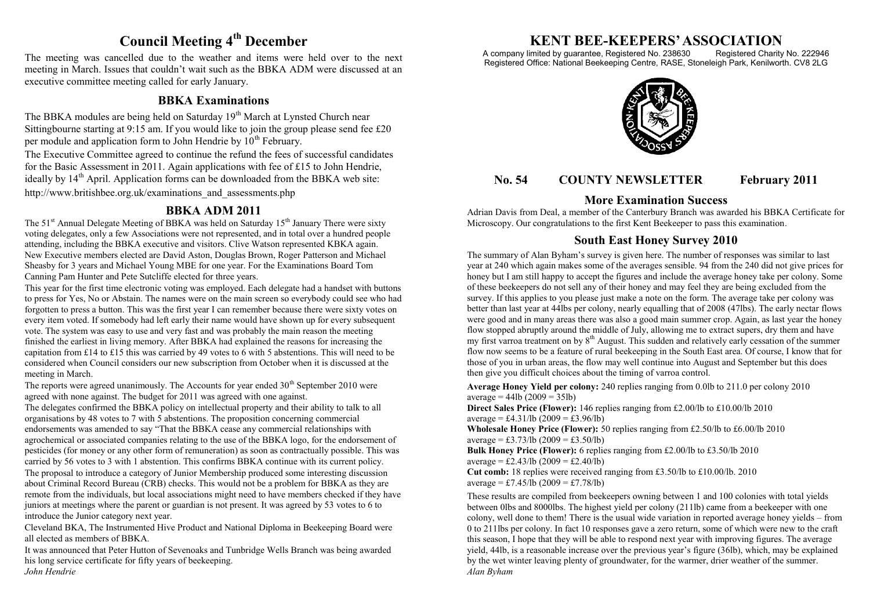# **Council Meeting 4th December**

The meeting was cancelled due to the weather and items were held over to the next meeting in March. Issues that couldn"t wait such as the BBKA ADM were discussed at an executive committee meeting called for early January.

#### **BBKA Examinations**

The BBKA modules are being held on Saturday 19<sup>th</sup> March at Lynsted Church near Sittingbourne starting at 9:15 am. If you would like to join the group please send fee £20 per module and application form to John Hendrie by  $10^{th}$  February.

The Executive Committee agreed to continue the refund the fees of successful candidates for the Basic Assessment in 2011. Again applications with fee of £15 to John Hendrie, ideally by  $14<sup>th</sup>$  April. Application forms can be downloaded from the BBKA web site: http://www.britishbee.org.uk/examinations\_and\_assessments.php

### **BBKA ADM 2011**

The 51<sup>st</sup> Annual Delegate Meeting of BBKA was held on Saturday 15<sup>th</sup> January There were sixty voting delegates, only a few Associations were not represented, and in total over a hundred people attending, including the BBKA executive and visitors. Clive Watson represented KBKA again. New Executive members elected are David Aston, Douglas Brown, Roger Patterson and Michael Sheasby for 3 years and Michael Young MBE for one year. For the Examinations Board Tom Canning Pam Hunter and Pete Sutcliffe elected for three years.

This year for the first time electronic voting was employed. Each delegate had a handset with buttons to press for Yes, No or Abstain. The names were on the main screen so everybody could see who had forgotten to press a button. This was the first year I can remember because there were sixty votes on every item voted. If somebody had left early their name would have shown up for every subsequent vote. The system was easy to use and very fast and was probably the main reason the meeting finished the earliest in living memory. After BBKA had explained the reasons for increasing the capitation from £14 to £15 this was carried by 49 votes to 6 with 5 abstentions. This will need to be considered when Council considers our new subscription from October when it is discussed at the meeting in March.

The reports were agreed unanimously. The Accounts for year ended  $30<sup>th</sup>$  September 2010 were agreed with none against. The budget for 2011 was agreed with one against.

The delegates confirmed the BBKA policy on intellectual property and their ability to talk to all organisations by 48 votes to 7 with 5 abstentions. The proposition concerning commercial endorsements was amended to say "That the BBKA cease any commercial relationships with agrochemical or associated companies relating to the use of the BBKA logo, for the endorsement of pesticides (for money or any other form of remuneration) as soon as contractually possible. This was carried by 56 votes to 3 with 1 abstention. This confirms BBKA continue with its current policy. The proposal to introduce a category of Junior Membership produced some interesting discussion about Criminal Record Bureau (CRB) checks. This would not be a problem for BBKA as they are remote from the individuals, but local associations might need to have members checked if they have juniors at meetings where the parent or guardian is not present. It was agreed by 53 votes to 6 to introduce the Junior category next year.

Cleveland BKA, The Instrumented Hive Product and National Diploma in Beekeeping Board were all elected as members of BBKA.

It was announced that Peter Hutton of Sevenoaks and Tunbridge Wells Branch was being awarded his long service certificate for fifty years of beekeeping. *John Hendrie*

# **KENT BEE-KEEPERS' ASSOCIATION**<br>imited by guarantee, Registered No. 238630 Registered Charity No. 222946

A company limited by guarantee, Registered No. 238630 Registered Office: National Beekeeping Centre, RASE, Stoneleigh Park, Kenilworth. CV8 2LG



# **No. 54 COUNTY NEWSLETTER February 2011**

# **More Examination Success**

Adrian Davis from Deal, a member of the Canterbury Branch was awarded his BBKA Certificate for Microscopy. Our congratulations to the first Kent Beekeeper to pass this examination.

## **South East Honey Survey 2010**

The summary of Alan Byham"s survey is given here. The number of responses was similar to last year at 240 which again makes some of the averages sensible. 94 from the 240 did not give prices for honey but I am still happy to accept the figures and include the average honey take per colony. Some of these beekeepers do not sell any of their honey and may feel they are being excluded from the survey. If this applies to you please just make a note on the form. The average take per colony was better than last year at 44lbs per colony, nearly equalling that of 2008 (47lbs). The early nectar flows were good and in many areas there was also a good main summer crop. Again, as last year the honey flow stopped abruptly around the middle of July, allowing me to extract supers, dry them and have my first varroa treatment on by  $8<sup>th</sup>$  August. This sudden and relatively early cessation of the summer flow now seems to be a feature of rural beekeeping in the South East area. Of course, I know that for those of you in urban areas, the flow may well continue into August and September but this does then give you difficult choices about the timing of varroa control.

**Average Honey Yield per colony:** 240 replies ranging from 0.0lb to 211.0 per colony 2010  $average = 44lb (2009 = 35lb)$ 

**Direct Sales Price (Flower):** 146 replies ranging from £2.00/lb to £10.00/lb 2010 average = £4.31/lb  $(2009 = \text{\textsterling}3.96/lb)$ 

**Wholesale Honey Price (Flower):** 50 replies ranging from £2.50/lb to £6.00/lb 2010 average = £3.73/lb  $(2009 = \text{\textsterling}3.50/lb)$ 

**Bulk Honey Price (Flower):** 6 replies ranging from £2.00/lb to £3.50/lb 2010 average = £2.43/lb  $(2009 = \text{\textsterling}2.40/\text{lb})$ 

**Cut comb:** 18 replies were received ranging from £3.50/lb to £10.00/lb. 2010 average = £7.45/ $\hat{I}b$  (2009 = £7.78/lb)

These results are compiled from beekeepers owning between 1 and 100 colonies with total yields between 0lbs and 8000lbs. The highest yield per colony (211lb) came from a beekeeper with one colony, well done to them! There is the usual wide variation in reported average honey yields – from 0 to 211lbs per colony. In fact 10 responses gave a zero return, some of which were new to the craft this season, I hope that they will be able to respond next year with improving figures. The average yield, 44lb, is a reasonable increase over the previous year"s figure (36lb), which, may be explained by the wet winter leaving plenty of groundwater, for the warmer, drier weather of the summer. *Alan Byham*